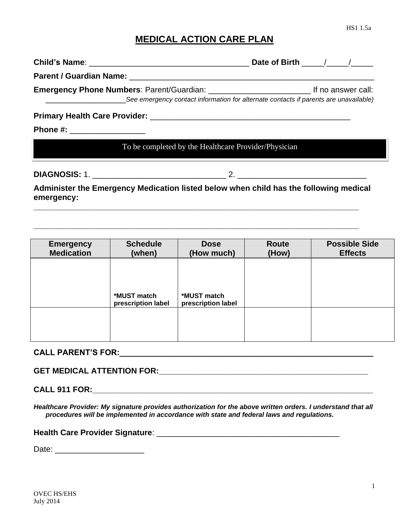1

HS1 1.5a

## **MEDICAL ACTION CARE PLAN**

| See emergency contact information for alternate contacts if parents are unavailable)                |                                                      |  |
|-----------------------------------------------------------------------------------------------------|------------------------------------------------------|--|
|                                                                                                     |                                                      |  |
|                                                                                                     |                                                      |  |
|                                                                                                     | To be completed by the Healthcare Provider/Physician |  |
|                                                                                                     |                                                      |  |
| Administer the Emergency Medication listed below when child has the following medical<br>emergency: |                                                      |  |
|                                                                                                     |                                                      |  |
|                                                                                                     |                                                      |  |

| <b>Emergency</b><br><b>Medication</b> | <b>Schedule</b><br>(when)         | <b>Dose</b><br>(How much)         | <b>Route</b><br>(How) | <b>Possible Side</b><br><b>Effects</b> |
|---------------------------------------|-----------------------------------|-----------------------------------|-----------------------|----------------------------------------|
|                                       |                                   |                                   |                       |                                        |
|                                       |                                   |                                   |                       |                                        |
|                                       | *MUST match<br>prescription label | *MUST match<br>prescription label |                       |                                        |
|                                       |                                   |                                   |                       |                                        |
|                                       |                                   |                                   |                       |                                        |

## **CALL PARENT'S FOR: Example 20 CALL PARENT'S FOR:**

**GET MEDICAL ATTENTION FOR:\_\_\_\_\_\_\_\_\_\_\_\_\_\_\_\_\_\_\_\_\_\_\_\_\_\_\_\_\_\_\_\_\_\_\_\_\_\_\_\_\_\_\_\_\_\_\_**

**CALL 911 FOR:\_\_\_\_\_\_\_\_\_\_\_\_\_\_\_\_\_\_\_\_\_\_\_\_\_\_\_\_\_\_\_\_\_\_\_\_\_\_\_\_\_\_\_\_\_\_\_\_\_\_\_\_\_\_\_\_\_\_\_\_\_\_\_**

*Healthcare Provider: My signature provides authorization for the above written orders. I understand that all procedures will be implemented in accordance with state and federal laws and regulations.* 

**Health Care Provider Signature**: \_\_\_\_\_\_\_\_\_\_\_\_\_\_\_\_\_\_\_\_\_\_\_\_\_\_\_\_\_\_\_\_\_\_\_\_\_\_\_\_\_

Date: \_\_\_\_\_\_\_\_\_\_\_\_\_\_\_\_\_\_\_\_